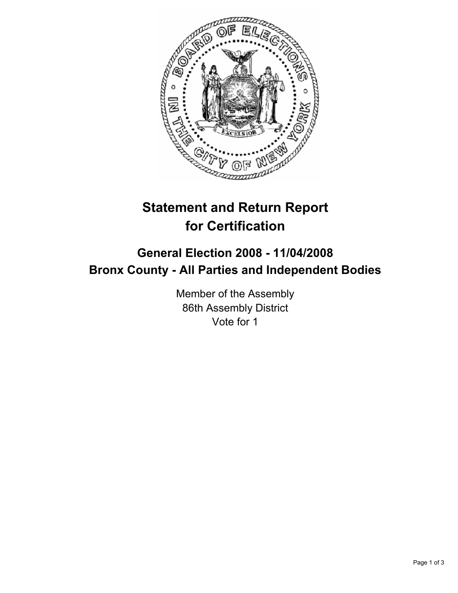

# **Statement and Return Report for Certification**

## **General Election 2008 - 11/04/2008 Bronx County - All Parties and Independent Bodies**

Member of the Assembly 86th Assembly District Vote for 1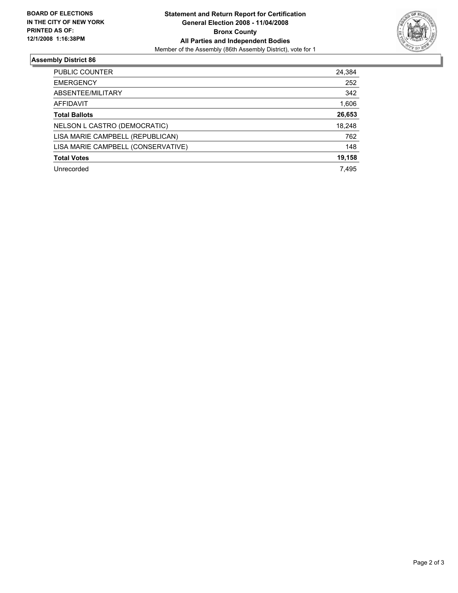

### **Assembly District 86**

| PUBLIC COUNTER                     | 24,384 |
|------------------------------------|--------|
| <b>EMERGENCY</b>                   | 252    |
| ABSENTEE/MILITARY                  | 342    |
| AFFIDAVIT                          | 1,606  |
| <b>Total Ballots</b>               | 26,653 |
| NELSON L CASTRO (DEMOCRATIC)       | 18,248 |
| LISA MARIE CAMPBELL (REPUBLICAN)   | 762    |
| LISA MARIE CAMPBELL (CONSERVATIVE) | 148    |
| <b>Total Votes</b>                 | 19,158 |
| Unrecorded                         | 7,495  |